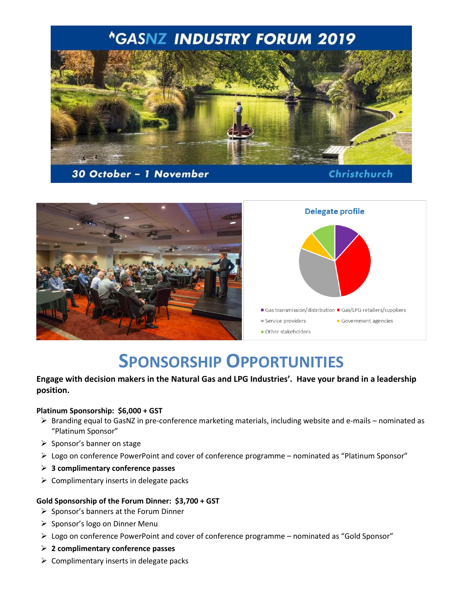

## 30 October - 1 November

## Christchurch



# **SPONSORSHIP OPPORTUNITIES**

## **Engage with decision makers in the Natural Gas and LPG Industries'. Have your brand in a leadership position.**

#### **Platinum Sponsorship: \$6,000 + GST**

- $\triangleright$  Branding equal to GasNZ in pre-conference marketing materials, including website and e-mails nominated as "Platinum Sponsor"
- $\triangleright$  Sponsor's banner on stage
- Logo on conference PowerPoint and cover of conference programme nominated as "Platinum Sponsor"
- **3 complimentary conference passes**
- $\triangleright$  Complimentary inserts in delegate packs

#### **Gold Sponsorship of the Forum Dinner: \$3,700 + GST**

- $\triangleright$  Sponsor's banners at the Forum Dinner
- $\triangleright$  Sponsor's logo on Dinner Menu
- Logo on conference PowerPoint and cover of conference programme nominated as "Gold Sponsor"
- **2 complimentary conference passes**
- $\triangleright$  Complimentary inserts in delegate packs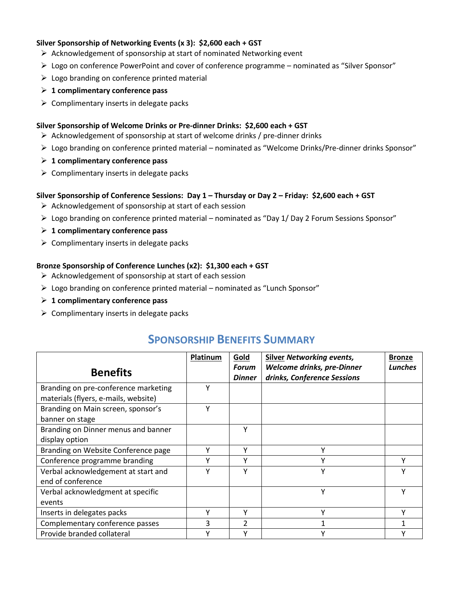#### **Silver Sponsorship of Networking Events (x 3): \$2,600 each + GST**

- $\triangleright$  Acknowledgement of sponsorship at start of nominated Networking event
- $\triangleright$  Logo on conference PowerPoint and cover of conference programme nominated as "Silver Sponsor"
- $\triangleright$  Logo branding on conference printed material
- **1 complimentary conference pass**
- $\triangleright$  Complimentary inserts in delegate packs

#### **Silver Sponsorship of Welcome Drinks or Pre-dinner Drinks: \$2,600 each + GST**

- $\triangleright$  Acknowledgement of sponsorship at start of welcome drinks / pre-dinner drinks
- Logo branding on conference printed material nominated as "Welcome Drinks/Pre-dinner drinks Sponsor"
- **1 complimentary conference pass**
- $\triangleright$  Complimentary inserts in delegate packs

#### **Silver Sponsorship of Conference Sessions: Day 1 – Thursday or Day 2 – Friday: \$2,600 each + GST**

- $\triangleright$  Acknowledgement of sponsorship at start of each session
- Logo branding on conference printed material nominated as "Day 1/ Day 2 Forum Sessions Sponsor"
- **1 complimentary conference pass**
- $\triangleright$  Complimentary inserts in delegate packs

#### **Bronze Sponsorship of Conference Lunches (x2): \$1,300 each + GST**

- $\triangleright$  Acknowledgement of sponsorship at start of each session
- Logo branding on conference printed material nominated as "Lunch Sponsor"
- **1 complimentary conference pass**
- $\triangleright$  Complimentary inserts in delegate packs

# **SPONSORSHIP BENEFITS SUMMARY**

|                                      | Platinum | Gold          | <b>Silver Networking events,</b> | <b>Bronze</b> |
|--------------------------------------|----------|---------------|----------------------------------|---------------|
| <b>Benefits</b>                      |          | Forum         | Welcome drinks, pre-Dinner       | Lunches       |
|                                      |          | <b>Dinner</b> | drinks, Conference Sessions      |               |
| Branding on pre-conference marketing | v        |               |                                  |               |
| materials (flyers, e-mails, website) |          |               |                                  |               |
| Branding on Main screen, sponsor's   | v        |               |                                  |               |
| banner on stage                      |          |               |                                  |               |
| Branding on Dinner menus and banner  |          | Υ             |                                  |               |
| display option                       |          |               |                                  |               |
| Branding on Website Conference page  | ν        | ٧             | v                                |               |
| Conference programme branding        |          |               |                                  |               |
| Verbal acknowledgement at start and  |          |               |                                  |               |
| end of conference                    |          |               |                                  |               |
| Verbal acknowledgment at specific    |          |               |                                  |               |
| events                               |          |               |                                  |               |
| Inserts in delegates packs           |          | Υ             | v                                |               |
| Complementary conference passes      | 3        | 2             |                                  |               |
| Provide branded collateral           |          |               |                                  |               |